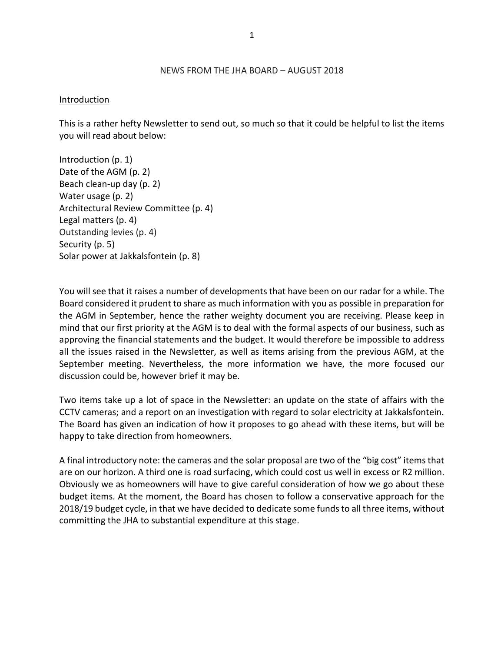#### NEWS FROM THE JHA BOARD – AUGUST 2018

#### Introduction

This is a rather hefty Newsletter to send out, so much so that it could be helpful to list the items you will read about below:

Introduction (p. 1) Date of the AGM (p. 2) Beach clean-up day (p. 2) Water usage (p. 2) Architectural Review Committee (p. 4) Legal matters (p. 4) Outstanding levies (p. 4) Security (p. 5) Solar power at Jakkalsfontein (p. 8)

You will see that it raises a number of developments that have been on our radar for a while. The Board considered it prudent to share as much information with you as possible in preparation for the AGM in September, hence the rather weighty document you are receiving. Please keep in mind that our first priority at the AGM is to deal with the formal aspects of our business, such as approving the financial statements and the budget. It would therefore be impossible to address all the issues raised in the Newsletter, as well as items arising from the previous AGM, at the September meeting. Nevertheless, the more information we have, the more focused our discussion could be, however brief it may be.

Two items take up a lot of space in the Newsletter: an update on the state of affairs with the CCTV cameras; and a report on an investigation with regard to solar electricity at Jakkalsfontein. The Board has given an indication of how it proposes to go ahead with these items, but will be happy to take direction from homeowners.

A final introductory note: the cameras and the solar proposal are two of the "big cost" items that are on our horizon. A third one is road surfacing, which could cost us well in excess or R2 million. Obviously we as homeowners will have to give careful consideration of how we go about these budget items. At the moment, the Board has chosen to follow a conservative approach for the 2018/19 budget cycle, in that we have decided to dedicate some funds to all three items, without committing the JHA to substantial expenditure at this stage.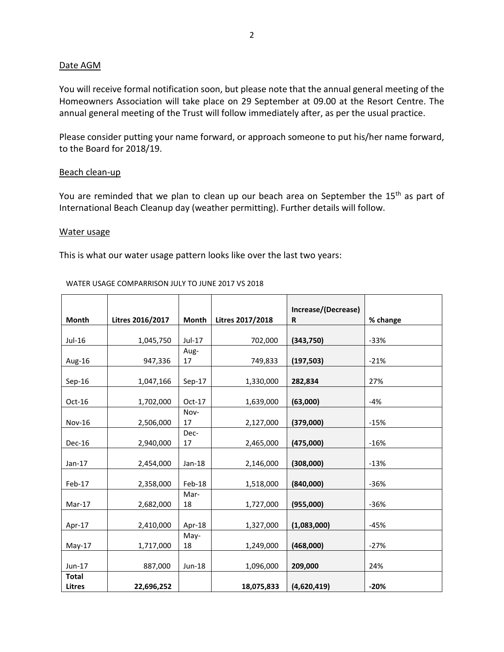## Date AGM

You will receive formal notification soon, but please note that the annual general meeting of the Homeowners Association will take place on 29 September at 09.00 at the Resort Centre. The annual general meeting of the Trust will follow immediately after, as per the usual practice.

Please consider putting your name forward, or approach someone to put his/her name forward, to the Board for 2018/19.

### Beach clean-up

You are reminded that we plan to clean up our beach area on September the 15<sup>th</sup> as part of International Beach Cleanup day (weather permitting). Further details will follow.

### Water usage

This is what our water usage pattern looks like over the last two years:

#### WATER USAGE COMPARRISON JULY TO JUNE 2017 VS 2018

|               |                  |          |                  | Increase/(Decrease) |          |
|---------------|------------------|----------|------------------|---------------------|----------|
| <b>Month</b>  | Litres 2016/2017 | Month    | Litres 2017/2018 | R                   | % change |
|               |                  |          |                  |                     |          |
| Jul-16        | 1,045,750        | Jul-17   | 702,000          | (343,750)           | $-33%$   |
|               |                  | Aug-     |                  |                     |          |
| Aug-16        | 947,336          | 17       | 749,833          | (197, 503)          | $-21%$   |
| $Sep-16$      | 1,047,166        | $Sep-17$ | 1,330,000        | 282,834             | 27%      |
|               |                  |          |                  |                     |          |
| $Oct-16$      | 1,702,000        | $Oct-17$ | 1,639,000        | (63,000)            | $-4%$    |
|               |                  | Nov-     |                  |                     |          |
| <b>Nov-16</b> | 2,506,000        | 17       | 2,127,000        | (379,000)           | $-15%$   |
|               |                  | Dec-     |                  |                     |          |
| Dec-16        | 2,940,000        | 17       | 2,465,000        | (475,000)           | $-16%$   |
|               |                  |          |                  |                     |          |
| $Jan-17$      | 2,454,000        | $Jan-18$ | 2,146,000        | (308,000)           | $-13%$   |
|               |                  |          |                  |                     |          |
| Feb-17        | 2,358,000        | Feb-18   | 1,518,000        | (840,000)           | $-36%$   |
|               |                  | Mar-     |                  |                     |          |
| Mar-17        | 2,682,000        | 18       | 1,727,000        | (955,000)           | $-36%$   |
| Apr-17        | 2,410,000        | Apr-18   | 1,327,000        | (1,083,000)         | $-45%$   |
|               |                  | May-     |                  |                     |          |
| $May-17$      | 1,717,000        | 18       | 1,249,000        | (468,000)           | $-27%$   |
|               |                  |          |                  |                     |          |
| Jun-17        | 887,000          | Jun-18   | 1,096,000        | 209,000             | 24%      |
| <b>Total</b>  |                  |          |                  |                     |          |
| <b>Litres</b> | 22,696,252       |          | 18,075,833       | (4,620,419)         | $-20%$   |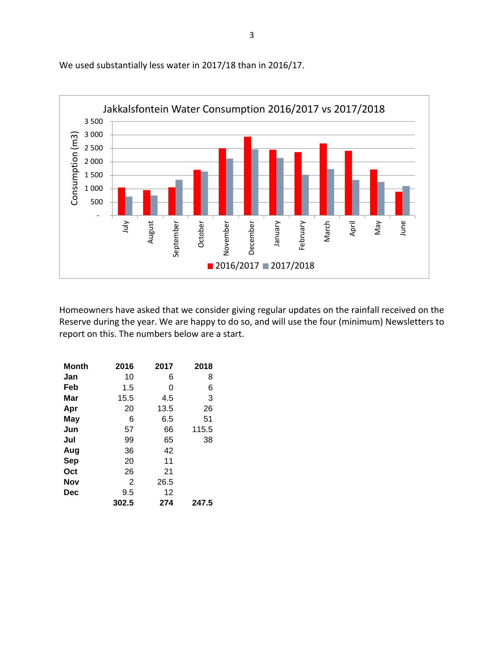

We used substantially less water in 2017/18 than in 2016/17.

Homeowners have asked that we consider giving regular updates on the rainfall received on the Reserve during the year. We are happy to do so, and will use the four (minimum) Newsletters to report on this. The numbers below are a start.

| <b>Month</b> | 2016  | 2017 | 2018  |
|--------------|-------|------|-------|
| Jan          | 10    | 6    | 8     |
| Feb          | 1.5   | 0    | 6     |
| Mar          | 15.5  | 4.5  | 3     |
| Apr          | 20    | 13.5 | 26    |
| May          | 6     | 6.5  | 51    |
| Jun          | 57    | 66   | 115.5 |
| Jul          | 99    | 65   | 38    |
| Aug          | 36    | 42   |       |
| Sep          | 20    | 11   |       |
| Oct          | 26    | 21   |       |
| <b>Nov</b>   | 2     | 26.5 |       |
| <b>Dec</b>   | 9.5   | 12   |       |
|              | 302.5 | 274  | 247.5 |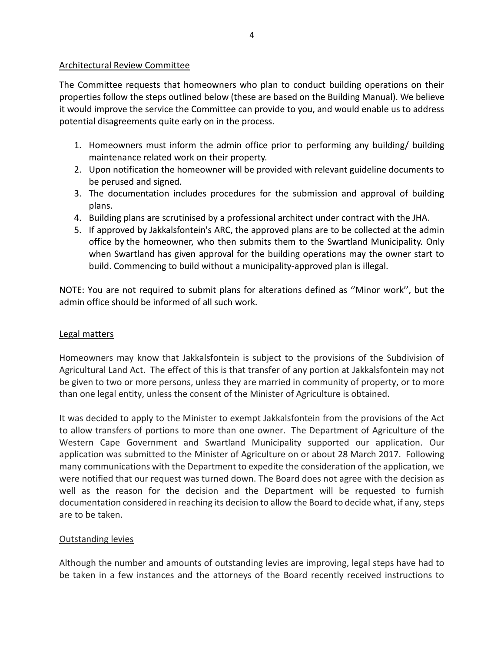## Architectural Review Committee

The Committee requests that homeowners who plan to conduct building operations on their properties follow the steps outlined below (these are based on the Building Manual). We believe it would improve the service the Committee can provide to you, and would enable us to address potential disagreements quite early on in the process.

- 1. Homeowners must inform the admin office prior to performing any building/ building maintenance related work on their property.
- 2. Upon notification the homeowner will be provided with relevant guideline documents to be perused and signed.
- 3. The documentation includes procedures for the submission and approval of building plans.
- 4. Building plans are scrutinised by a professional architect under contract with the JHA.
- 5. If approved by Jakkalsfontein's ARC, the approved plans are to be collected at the admin office by the homeowner, who then submits them to the Swartland Municipality. Only when Swartland has given approval for the building operations may the owner start to build. Commencing to build without a municipality-approved plan is illegal.

NOTE: You are not required to submit plans for alterations defined as ''Minor work'', but the admin office should be informed of all such work.

## Legal matters

Homeowners may know that Jakkalsfontein is subject to the provisions of the Subdivision of Agricultural Land Act. The effect of this is that transfer of any portion at Jakkalsfontein may not be given to two or more persons, unless they are married in community of property, or to more than one legal entity, unless the consent of the Minister of Agriculture is obtained.

It was decided to apply to the Minister to exempt Jakkalsfontein from the provisions of the Act to allow transfers of portions to more than one owner. The Department of Agriculture of the Western Cape Government and Swartland Municipality supported our application. Our application was submitted to the Minister of Agriculture on or about 28 March 2017. Following many communications with the Department to expedite the consideration of the application, we were notified that our request was turned down. The Board does not agree with the decision as well as the reason for the decision and the Department will be requested to furnish documentation considered in reaching its decision to allow the Board to decide what, if any, steps are to be taken.

## Outstanding levies

Although the number and amounts of outstanding levies are improving, legal steps have had to be taken in a few instances and the attorneys of the Board recently received instructions to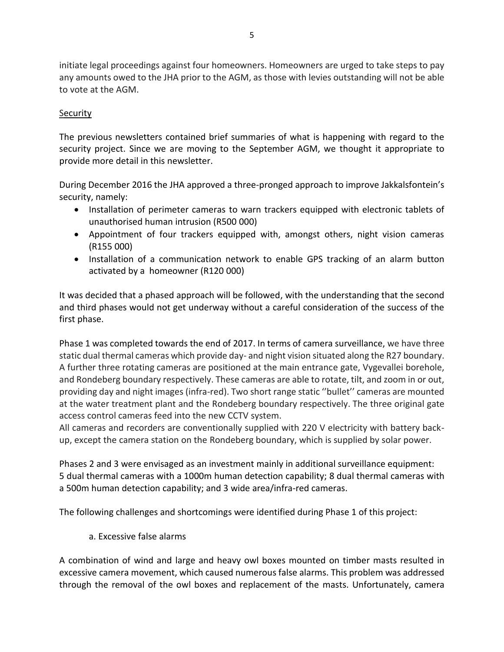initiate legal proceedings against four homeowners. Homeowners are urged to take steps to pay any amounts owed to the JHA prior to the AGM, as those with levies outstanding will not be able to vote at the AGM.

## **Security**

The previous newsletters contained brief summaries of what is happening with regard to the security project. Since we are moving to the September AGM, we thought it appropriate to provide more detail in this newsletter.

During December 2016 the JHA approved a three-pronged approach to improve Jakkalsfontein's security, namely:

- Installation of perimeter cameras to warn trackers equipped with electronic tablets of unauthorised human intrusion (R500 000)
- Appointment of four trackers equipped with, amongst others, night vision cameras (R155 000)
- Installation of a communication network to enable GPS tracking of an alarm button activated by a homeowner (R120 000)

It was decided that a phased approach will be followed, with the understanding that the second and third phases would not get underway without a careful consideration of the success of the first phase.

Phase 1 was completed towards the end of 2017. In terms of camera surveillance, we have three static dual thermal cameras which provide day- and night vision situated along the R27 boundary. A further three rotating cameras are positioned at the main entrance gate, Vygevallei borehole, and Rondeberg boundary respectively. These cameras are able to rotate, tilt, and zoom in or out, providing day and night images (infra-red). Two short range static ''bullet'' cameras are mounted at the water treatment plant and the Rondeberg boundary respectively. The three original gate access control cameras feed into the new CCTV system.

All cameras and recorders are conventionally supplied with 220 V electricity with battery backup, except the camera station on the Rondeberg boundary, which is supplied by solar power.

Phases 2 and 3 were envisaged as an investment mainly in additional surveillance equipment: 5 dual thermal cameras with a 1000m human detection capability; 8 dual thermal cameras with a 500m human detection capability; and 3 wide area/infra-red cameras.

The following challenges and shortcomings were identified during Phase 1 of this project:

a. Excessive false alarms

A combination of wind and large and heavy owl boxes mounted on timber masts resulted in excessive camera movement, which caused numerous false alarms. This problem was addressed through the removal of the owl boxes and replacement of the masts. Unfortunately, camera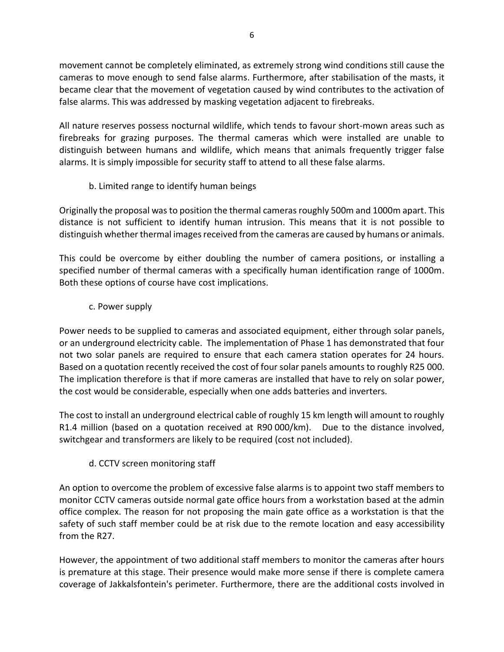movement cannot be completely eliminated, as extremely strong wind conditions still cause the cameras to move enough to send false alarms. Furthermore, after stabilisation of the masts, it became clear that the movement of vegetation caused by wind contributes to the activation of false alarms. This was addressed by masking vegetation adjacent to firebreaks.

All nature reserves possess nocturnal wildlife, which tends to favour short-mown areas such as firebreaks for grazing purposes. The thermal cameras which were installed are unable to distinguish between humans and wildlife, which means that animals frequently trigger false alarms. It is simply impossible for security staff to attend to all these false alarms.

# b. Limited range to identify human beings

Originally the proposal was to position the thermal cameras roughly 500m and 1000m apart. This distance is not sufficient to identify human intrusion. This means that it is not possible to distinguish whether thermal images received from the cameras are caused by humans or animals.

This could be overcome by either doubling the number of camera positions, or installing a specified number of thermal cameras with a specifically human identification range of 1000m. Both these options of course have cost implications.

## c. Power supply

Power needs to be supplied to cameras and associated equipment, either through solar panels, or an underground electricity cable. The implementation of Phase 1 has demonstrated that four not two solar panels are required to ensure that each camera station operates for 24 hours. Based on a quotation recently received the cost of four solar panels amounts to roughly R25 000. The implication therefore is that if more cameras are installed that have to rely on solar power, the cost would be considerable, especially when one adds batteries and inverters.

The cost to install an underground electrical cable of roughly 15 km length will amount to roughly R1.4 million (based on a quotation received at R90 000/km). Due to the distance involved, switchgear and transformers are likely to be required (cost not included).

# d. CCTV screen monitoring staff

An option to overcome the problem of excessive false alarms is to appoint two staff members to monitor CCTV cameras outside normal gate office hours from a workstation based at the admin office complex. The reason for not proposing the main gate office as a workstation is that the safety of such staff member could be at risk due to the remote location and easy accessibility from the R27.

However, the appointment of two additional staff members to monitor the cameras after hours is premature at this stage. Their presence would make more sense if there is complete camera coverage of Jakkalsfontein's perimeter. Furthermore, there are the additional costs involved in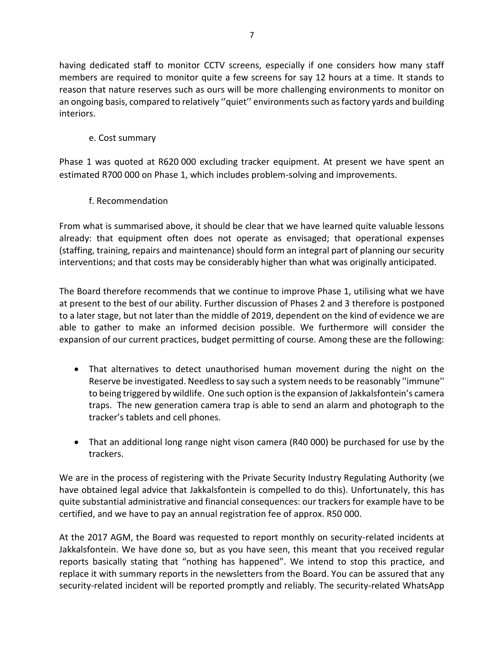having dedicated staff to monitor CCTV screens, especially if one considers how many staff members are required to monitor quite a few screens for say 12 hours at a time. It stands to reason that nature reserves such as ours will be more challenging environments to monitor on an ongoing basis, compared to relatively ''quiet'' environments such as factory yards and building interiors.

e. Cost summary

Phase 1 was quoted at R620 000 excluding tracker equipment. At present we have spent an estimated R700 000 on Phase 1, which includes problem-solving and improvements.

f. Recommendation

From what is summarised above, it should be clear that we have learned quite valuable lessons already: that equipment often does not operate as envisaged; that operational expenses (staffing, training, repairs and maintenance) should form an integral part of planning our security interventions; and that costs may be considerably higher than what was originally anticipated.

The Board therefore recommends that we continue to improve Phase 1, utilising what we have at present to the best of our ability. Further discussion of Phases 2 and 3 therefore is postponed to a later stage, but not later than the middle of 2019, dependent on the kind of evidence we are able to gather to make an informed decision possible. We furthermore will consider the expansion of our current practices, budget permitting of course. Among these are the following:

- That alternatives to detect unauthorised human movement during the night on the Reserve be investigated. Needless to say such a system needs to be reasonably ''immune'' to being triggered by wildlife. One such option is the expansion of Jakkalsfontein's camera traps. The new generation camera trap is able to send an alarm and photograph to the tracker's tablets and cell phones.
- That an additional long range night vison camera (R40 000) be purchased for use by the trackers.

We are in the process of registering with the Private Security Industry Regulating Authority (we have obtained legal advice that Jakkalsfontein is compelled to do this). Unfortunately, this has quite substantial administrative and financial consequences: our trackers for example have to be certified, and we have to pay an annual registration fee of approx. R50 000.

At the 2017 AGM, the Board was requested to report monthly on security-related incidents at Jakkalsfontein. We have done so, but as you have seen, this meant that you received regular reports basically stating that "nothing has happened". We intend to stop this practice, and replace it with summary reports in the newsletters from the Board. You can be assured that any security-related incident will be reported promptly and reliably. The security-related WhatsApp